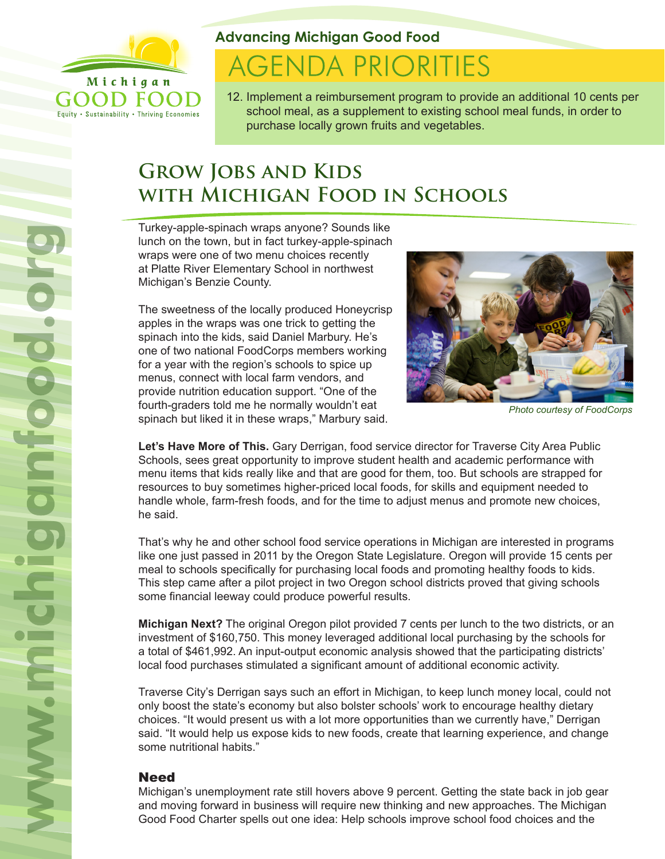

Equity . Sustainability . Thriving Economies

**Advancing Michigan Good Food**

# **AGENDA PRIORITIES**

12. Implement a reimbursement program to provide an additional 10 cents per school meal, as a supplement to existing school meal funds, in order to purchase locally grown fruits and vegetables.

## **Grow Jobs and Kids with Michigan Food in Schools**

Turkey-apple-spinach wraps anyone? Sounds like lunch on the town, but in fact turkey-apple-spinach wraps were one of two menu choices recently at Platte River Elementary School in northwest Michigan's Benzie County.

The sweetness of the locally produced Honeycrisp apples in the wraps was one trick to getting the spinach into the kids, said Daniel Marbury. He's one of two national FoodCorps members working for a year with the region's schools to spice up menus, connect with local farm vendors, and provide nutrition education support. "One of the fourth-graders told me he normally wouldn't eat spinach but liked it in these wraps," Marbury said.



*Photo courtesy of FoodCorps*

**Let's Have More of This.** Gary Derrigan, food service director for Traverse City Area Public Schools, sees great opportunity to improve student health and academic performance with menu items that kids really like and that are good for them, too. But schools are strapped for resources to buy sometimes higher-priced local foods, for skills and equipment needed to handle whole, farm-fresh foods, and for the time to adjust menus and promote new choices, he said.

That's why he and other school food service operations in Michigan are interested in programs like one just passed in 2011 by the Oregon State Legislature. Oregon will provide 15 cents per meal to schools specifically for purchasing local foods and promoting healthy foods to kids. This step came after a pilot project in two Oregon school districts proved that giving schools some financial leeway could produce powerful results.

**Michigan Next?** The original Oregon pilot provided 7 cents per lunch to the two districts, or an investment of \$160,750. This money leveraged additional local purchasing by the schools for a total of \$461,992. An input-output economic analysis showed that the participating districts' local food purchases stimulated a significant amount of additional economic activity.

Traverse City's Derrigan says such an effort in Michigan, to keep lunch money local, could not only boost the state's economy but also bolster schools' work to encourage healthy dietary choices. "It would present us with a lot more opportunities than we currently have," Derrigan said. "It would help us expose kids to new foods, create that learning experience, and change some nutritional habits."

### Need

Michigan's unemployment rate still hovers above 9 percent. Getting the state back in job gear and moving forward in business will require new thinking and new approaches. The Michigan Good Food Charter spells out one idea: Help schools improve school food choices and the